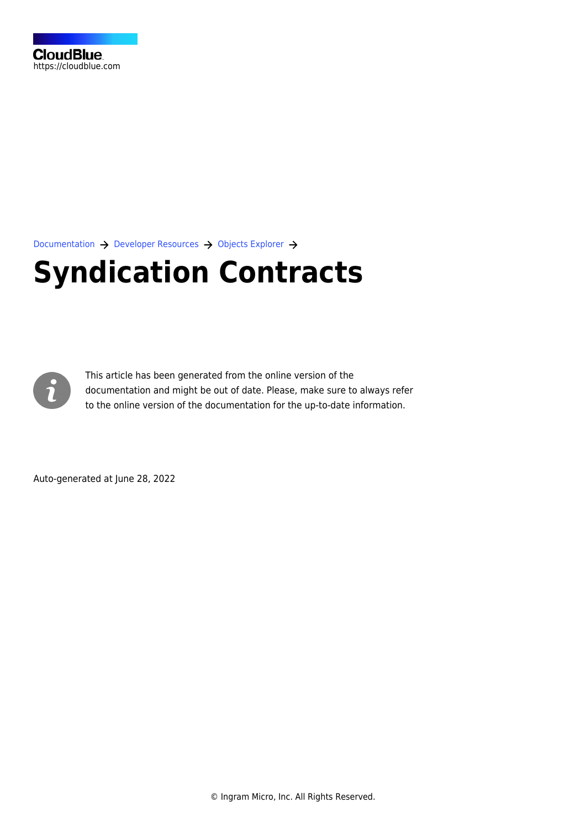[Documentation](https://connect.cloudblue.com/documentation)  $\rightarrow$  [Developer Resources](https://connect.cloudblue.com/community/developers/)  $\rightarrow$  [Objects Explorer](https://connect.cloudblue.com/community/developers/objects/)  $\rightarrow$ 

## **[Syndication Contracts](https://connect.cloudblue.com/community/developers/objects/syndication-contracts/)**



This article has been generated from the online version of the documentation and might be out of date. Please, make sure to always refer to the online version of the documentation for the up-to-date information.

Auto-generated at June 28, 2022